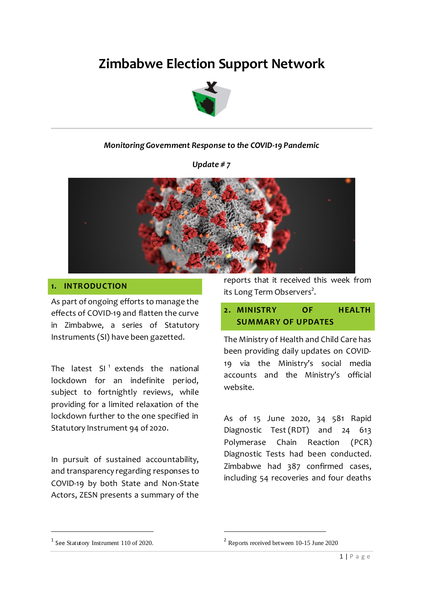# **Zimbabwe Election Support Network**



### *Monitoring Government Response to the COVID-19 Pandemic*

*Update # 7*



#### **1. INTRODUCTION**

As part of ongoing efforts to manage the effects of COVID-19 and flatten the curve in Zimbabwe, a series of Statutory Instruments (SI) have been gazetted.

The latest  $SI<sup>1</sup>$  extends the national lockdown for an indefinite period, subject to fortnightly reviews, while providing for a limited relaxation of the lockdown further to the one specified in Statutory Instrument 94 of 2020.

In pursuit of sustained accountability, and transparency regarding responses to COVID-19 by both State and Non-State Actors, ZESN presents a summary of the reports that it received this week from its Long Term Observers<sup>2</sup>.

## **2. MINISTRY OF HEALTH SUMMARY OF UPDATES**

The Ministry of Health and Child Care has been providing daily updates on COVID-19 via the Ministry's social media accounts and the Ministry's official website.

As of 15 June 2020, 34 581 Rapid Diagnostic Test (RDT) and 24 613 Polymerase Chain Reaction (PCR) Diagnostic Tests had been conducted. Zimbabwe had 387 confirmed cases, including 54 recoveries and four deaths

 $\overline{a}$ 

1

<sup>1</sup> See Statutory Instrument 110 of 2020.

<sup>&</sup>lt;sup>2</sup> Reports received between 10-15 June 2020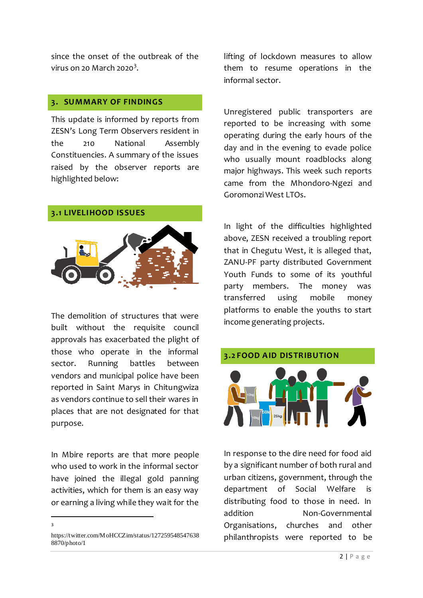since the onset of the outbreak of the virus on 20 March 2020 $^3$ .

#### **3. SUMMARY OF FINDINGS**

This update is informed by reports from ZESN's Long Term Observers resident in the 210 National Assembly Constituencies. A summary of the issues raised by the observer reports are highlighted below:

**3.1 LIVELIHOOD ISSUES** 



The demolition of structures that were built without the requisite council approvals has exacerbated the plight of those who operate in the informal sector. Running battles between vendors and municipal police have been reported in Saint Marys in Chitungwiza as vendors continue to sell their wares in places that are not designated for that purpose.

In Mbire reports are that more people who used to work in the informal sector have joined the illegal gold panning activities, which for them is an easy way or earning a living while they wait for the

https://twitter.com/MoHCCZim/status/127259548547638 8870/photo/1

 $\overline{a}$ 3 lifting of lockdown measures to allow them to resume operations in the informal sector.

Unregistered public transporters are reported to be increasing with some operating during the early hours of the day and in the evening to evade police who usually mount roadblocks along major highways. This week such reports came from the Mhondoro-Ngezi and Goromonzi West LTOs.

In light of the difficulties highlighted above, ZESN received a troubling report that in Chegutu West, it is alleged that, ZANU-PF party distributed Government Youth Funds to some of its youthful party members. The money was transferred using mobile money platforms to enable the youths to start income generating projects.



In response to the dire need for food aid by a significant number of both rural and urban citizens, government, through the department of Social Welfare is distributing food to those in need. In addition Non-Governmental Organisations, churches and other philanthropists were reported to be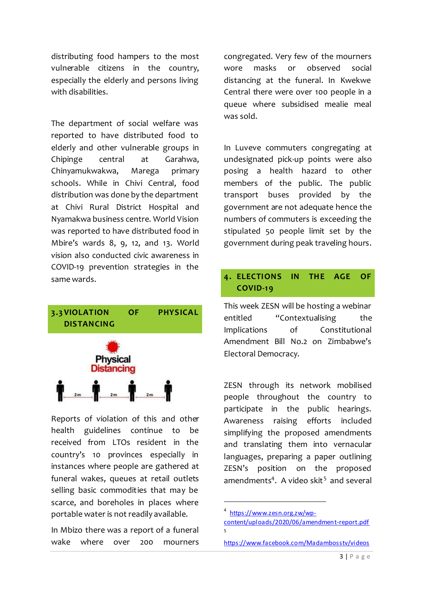distributing food hampers to the most vulnerable citizens in the country, especially the elderly and persons living with disabilities.

The department of social welfare was reported to have distributed food to elderly and other vulnerable groups in Chipinge central at Garahwa, Chinyamukwakwa, Marega primary schools. While in Chivi Central, food distribution was done by the department at Chivi Rural District Hospital and Nyamakwa business centre. World Vision was reported to have distributed food in Mbire's wards 8, 9, 12, and 13. World vision also conducted civic awareness in COVID-19 prevention strategies in the same wards.



Reports of violation of this and other health guidelines continue to be received from LTOs resident in the country's 10 provinces especially in instances where people are gathered at funeral wakes, queues at retail outlets selling basic commodities that may be scarce, and boreholes in places where portable water is not readily available.

In Mbizo there was a report of a funeral wake where over 200 mourners congregated. Very few of the mourners wore masks or observed social distancing at the funeral. In Kwekwe Central there were over 100 people in a queue where subsidised mealie meal was sold.

In Luveve commuters congregating at undesignated pick-up points were also posing a health hazard to other members of the public. The public transport buses provided by the government are not adequate hence the numbers of commuters is exceeding the stipulated 50 people limit set by the government during peak traveling hours.

# **4. ELECTIONS IN THE AGE OF COVID-19**

This week ZESN will be hosting a webinar entitled "Contextualising the Implications of Constitutional Amendment Bill No.2 on Zimbabwe's Electoral Democracy.

ZESN through its network mobilised people throughout the country to participate in the public hearings. Awareness raising efforts included simplifying the proposed amendments and translating them into vernacular languages, preparing a paper outlining ZESN's position on the proposed amendments<sup>4</sup>. A video skit<sup>5</sup> and several

1

<sup>4</sup> [https://www.zesn.org.zw/wp-](https://www.zesn.org.zw/wp-content/uploads/2020/06/amendment-report.pdf)

[content/uploads/2020/06/amendment-report.pdf](https://www.zesn.org.zw/wp-content/uploads/2020/06/amendment-report.pdf) 5

[https://www.facebook.com/Madambosstv/videos](https://www.facebook.com/Madambosstv/videos/266578914654790/UzpfSTE4MzI1NjE2NTA1NzYzMToyOTQwMzkzNTM5MzQzODY2/)